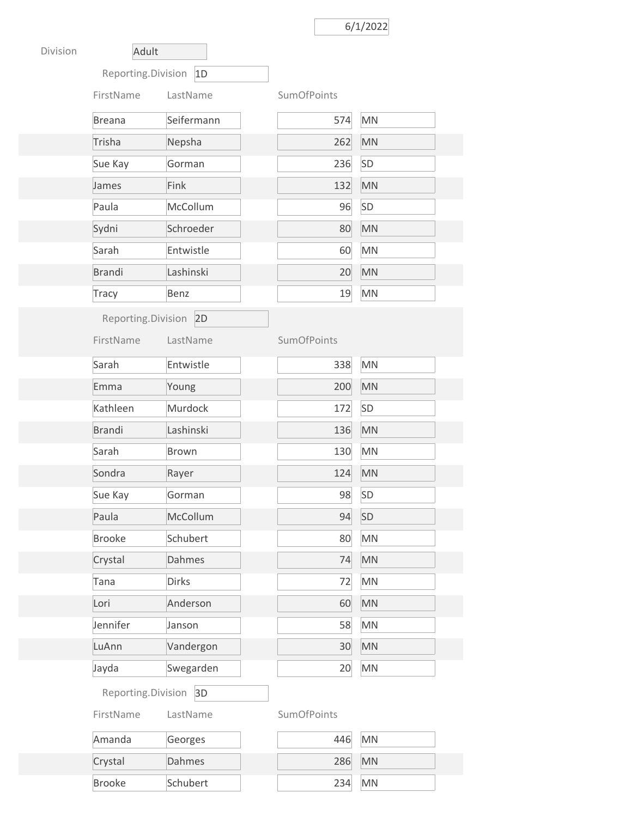## 6/1/2022

| Division | Adult                    |              |  |                    |           |
|----------|--------------------------|--------------|--|--------------------|-----------|
|          | Reporting.Division<br>1D |              |  |                    |           |
|          | FirstName                | LastName     |  | <b>SumOfPoints</b> |           |
|          | <b>Breana</b>            | Seifermann   |  | 574                | <b>MN</b> |
|          | Trisha                   | Nepsha       |  | 262                | <b>MN</b> |
|          | Sue Kay                  | Gorman       |  | 236                | <b>SD</b> |
|          | James                    | Fink         |  | 132                | <b>MN</b> |
|          | Paula                    | McCollum     |  | 96                 | SD        |
|          | Sydni                    | Schroeder    |  | 80                 | <b>MN</b> |
|          | Sarah                    | Entwistle    |  | 60                 | <b>MN</b> |
|          | <b>Brandi</b>            | Lashinski    |  | 20                 | <b>MN</b> |
|          | <b>Tracy</b>             | Benz         |  | 19                 | <b>MN</b> |
|          | Reporting.Division       | 2D           |  |                    |           |
|          | FirstName                | LastName     |  | <b>SumOfPoints</b> |           |
|          | Sarah                    | Entwistle    |  | 338                | <b>MN</b> |
|          | Emma                     | Young        |  | 200                | <b>MN</b> |
|          | Kathleen                 | Murdock      |  | 172                | SD        |
|          | <b>Brandi</b>            | Lashinski    |  | 136                | <b>MN</b> |
|          | Sarah                    | <b>Brown</b> |  | 130                | <b>MN</b> |
|          | Sondra                   | Rayer        |  | 124                | <b>MN</b> |
|          | Sue Kay                  | Gorman       |  | 98                 | SD        |
|          | Paula                    | McCollum     |  | 94                 | SD        |
|          | <b>Brooke</b>            | Schubert     |  | 80                 | <b>MN</b> |
|          | Crystal                  | Dahmes       |  | 74                 | <b>MN</b> |
|          | Tana                     | <b>Dirks</b> |  | 72                 | <b>MN</b> |
|          | Lori                     | Anderson     |  | 60                 | <b>MN</b> |
|          | Jennifer                 | Janson       |  | 58                 | <b>MN</b> |
|          | LuAnn                    | Vandergon    |  | 30                 | <b>MN</b> |
|          | Jayda                    | Swegarden    |  | 20                 | MN        |
|          | Reporting.Division 3D    |              |  |                    |           |
|          | FirstName                | LastName     |  | <b>SumOfPoints</b> |           |
|          | Amanda                   | Georges      |  | 446                | <b>MN</b> |
|          | Crystal                  | Dahmes       |  | 286                | MN        |
|          | <b>Brooke</b>            | Schubert     |  | 234                | <b>MN</b> |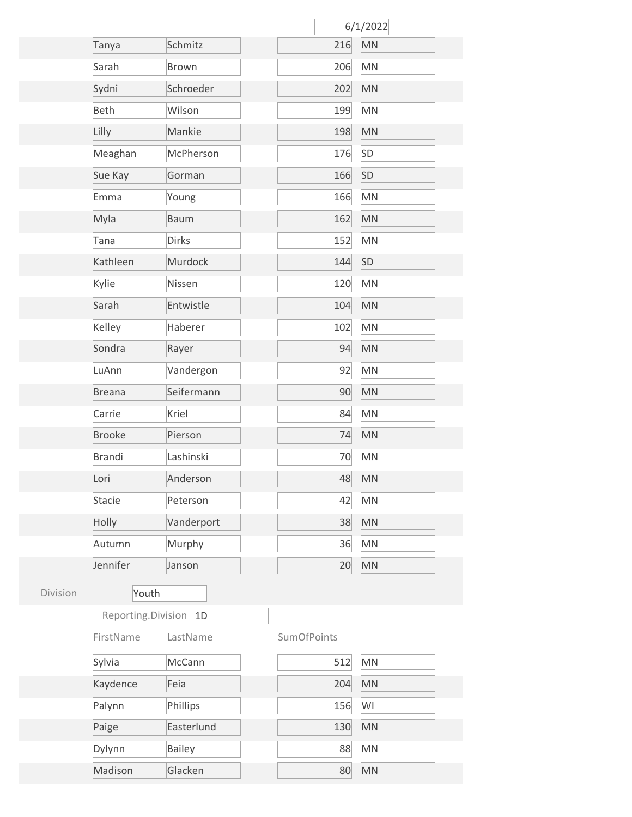|          |                    |               |                    | 6/1/2022               |  |
|----------|--------------------|---------------|--------------------|------------------------|--|
|          | Tanya              | Schmitz       | 216                | <b>MN</b>              |  |
|          | Sarah              | <b>Brown</b>  | 206                | MN                     |  |
|          | Sydni              | Schroeder     | 202                | $\mathsf{M}\mathsf{N}$ |  |
|          | <b>Beth</b>        | Wilson        | 199                | MN                     |  |
|          | Lilly              | Mankie        | 198                | <b>MN</b>              |  |
|          | Meaghan            | McPherson     | 176                | SD                     |  |
|          | Sue Kay            | Gorman        | 166                | SD                     |  |
|          | Emma               | Young         | 166                | MN                     |  |
|          | Myla               | <b>Baum</b>   | 162                | MN                     |  |
|          | Tana               | <b>Dirks</b>  | 152                | MN                     |  |
|          | Kathleen           | Murdock       | 144                | SD                     |  |
|          | Kylie              | Nissen        | 120                | MN                     |  |
|          | Sarah              | Entwistle     | 104                | MN                     |  |
|          | Kelley             | Haberer       | 102                | <b>MN</b>              |  |
|          | Sondra             | Rayer         | 94                 | MN                     |  |
|          | LuAnn              | Vandergon     | 92                 | MN                     |  |
|          | <b>Breana</b>      | Seifermann    | 90                 | MN                     |  |
|          | Carrie             | Kriel         | 84                 | <b>MN</b>              |  |
|          | <b>Brooke</b>      | Pierson       | 74                 | MN                     |  |
|          | <b>Brandi</b>      | Lashinski     | 70                 | <b>MN</b>              |  |
|          | Lori               | Anderson      | 48                 | <b>MN</b>              |  |
|          | <b>Stacie</b>      | Peterson      | 42                 | MN                     |  |
|          | Holly              | Vanderport    | 38                 | MN                     |  |
|          | Autumn             | Murphy        | 36                 | MN                     |  |
|          | Jennifer           | Janson        | 20                 | MN                     |  |
| Division | Youth              |               |                    |                        |  |
|          | Reporting.Division | 1D            |                    |                        |  |
|          | FirstName          | LastName      | <b>SumOfPoints</b> |                        |  |
|          | Sylvia             | McCann        | 512                | MN                     |  |
|          | Kaydence           | Feia          | 204                | <b>MN</b>              |  |
|          | Palynn             | Phillips      | 156                | WI                     |  |
|          | Paige              | Easterlund    | 130                | MN                     |  |
|          | Dylynn             | <b>Bailey</b> | 88                 | MN                     |  |
|          | Madison            | Glacken       | 80                 | MN                     |  |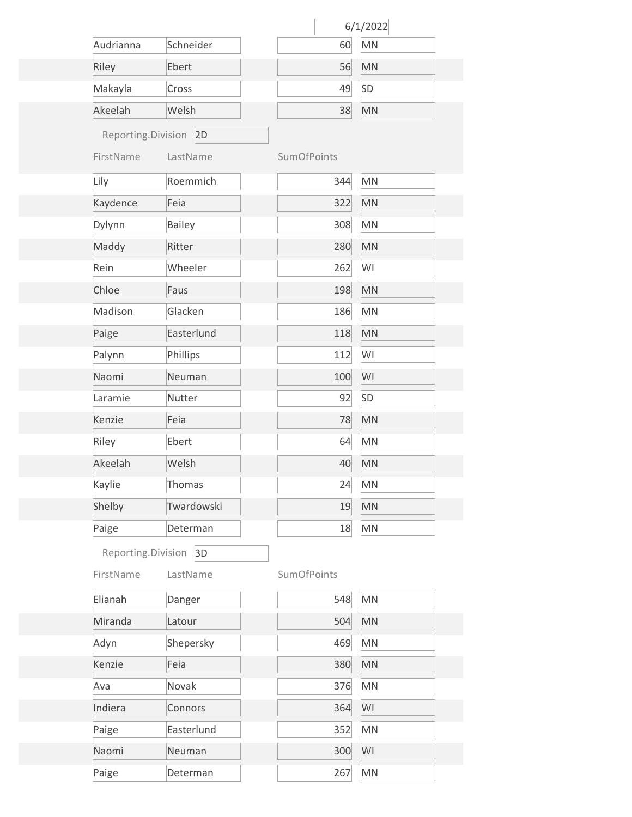|                       |               |                    | 6/1/2022  |  |
|-----------------------|---------------|--------------------|-----------|--|
| Audrianna             | Schneider     | 60                 | <b>MN</b> |  |
| Riley                 | Ebert         | 56                 | <b>MN</b> |  |
| Makayla               | Cross         | 49                 | <b>SD</b> |  |
| Akeelah               | Welsh         | 38                 | <b>MN</b> |  |
| Reporting.Division 2D |               |                    |           |  |
| FirstName             | LastName      | <b>SumOfPoints</b> |           |  |
| Lily                  | Roemmich      | 344                | <b>MN</b> |  |
| Kaydence              | Feia          | 322                | MN        |  |
| Dylynn                | <b>Bailey</b> | 308                | <b>MN</b> |  |
| Maddy                 | Ritter        | 280                | <b>MN</b> |  |
| Rein                  | Wheeler       | 262                | WI        |  |
| Chloe                 | Faus          | 198                | <b>MN</b> |  |
| Madison               | Glacken       | 186                | <b>MN</b> |  |
| Paige                 | Easterlund    | 118                | <b>MN</b> |  |
| Palynn                | Phillips      | 112                | WI        |  |
| Naomi                 | Neuman        | 100                | WI        |  |
| Laramie               | Nutter        | 92                 | SD        |  |
| Kenzie                | Feia          | 78                 | <b>MN</b> |  |
| Riley                 | Ebert         | 64                 | <b>MN</b> |  |
| Akeelah               | Welsh         | 40                 | <b>MN</b> |  |
| Kaylie                | Thomas        | 24                 | <b>MN</b> |  |
| Shelby                | Twardowski    | 19                 | <b>MN</b> |  |
| Paige                 | Determan      | 18                 | <b>MN</b> |  |
| Reporting.Division    | 3D            |                    |           |  |
| FirstName             | LastName      | <b>SumOfPoints</b> |           |  |
| Elianah               | Danger        | 548                | <b>MN</b> |  |
| Miranda               | Latour        | 504                | <b>MN</b> |  |
| Adyn                  | Shepersky     | 469                | <b>MN</b> |  |
| Kenzie                | Feia          | 380                | <b>MN</b> |  |
| Ava                   | Novak         | 376                | <b>MN</b> |  |
| Indiera               | Connors       | 364                | WI        |  |
| Paige                 | Easterlund    | 352                | <b>MN</b> |  |
| Naomi                 | Neuman        | 300                | WI        |  |
| Paige                 | Determan      | 267                | <b>MN</b> |  |
|                       |               |                    |           |  |